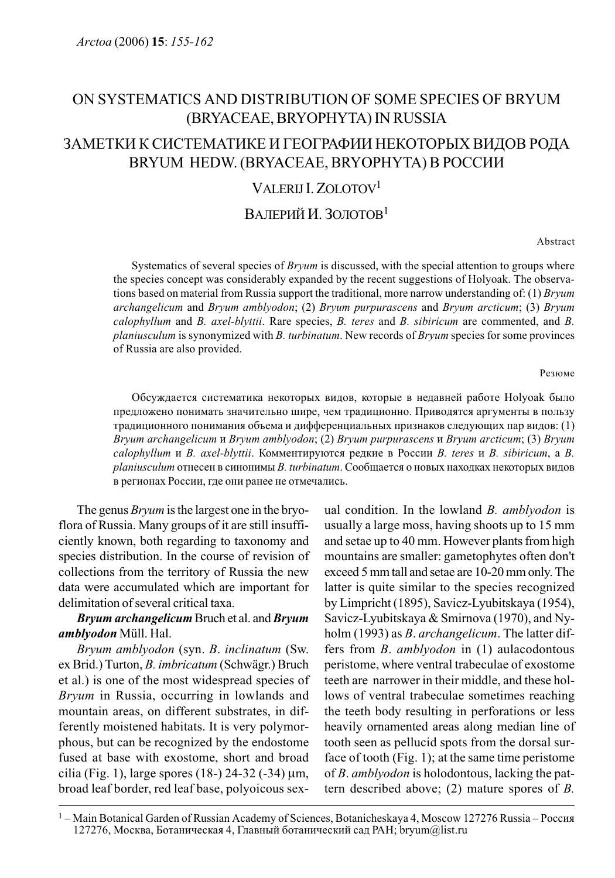# ON SYSTEMATICS AND DISTRIBUTION OF SOME SPECIES OF BRYUM (BRYACEAE, BRYOPHYTA) IN RUSSIA

# ЗАМЕТКИ К СИСТЕМАТИКЕ И ГЕОГРАФИИ НЕКОТОРЫХ ВИДОВ РОДА BRYUM HEDW. (BRYACEAE, BRYOPHYTA) В РОССИИ

# VALERIJ  $Z$ OLOTOV<sup>1</sup>

# ВАЛЕРИЙ И. ЗОЛОТОВ<sup>1</sup>

Abstract

Systematics of several species of *Bryum* is discussed, with the special attention to groups where the species concept was considerably expanded by the recent suggestions of Holyoak. The observations based on material from Russia support the traditional, more narrow understanding of: (1) Bryum archangelicum and Bryum amblyodon; (2) Bryum purpurascens and Bryum arcticum; (3) Bryum calophyllum and B. axel-blyttii. Rare species, B. teres and B. sibiricum are commented, and B. planiusculum is synonymized with B. turbinatum. New records of Bryum species for some provinces of Russia are also provided.

#### Резюме

Обсуждается систематика некоторых видов, которые в недавней работе Holyoak было предложено понимать значительно шире, чем традиционно. Приводятся аргументы в пользу традиционного понимания объема и дифференциальных признаков следующих пар видов: (1) Bryum archangelicum и Bryum amblyodon; (2) Bryum purpurascens и Bryum arcticum; (3) Bryum  $calophyllum$  и B. axel-blyttii. Комментируются редкие в России B. teres и B. sibiricum, а B.  $planiusculum$  отнесен в синонимы B. turbinatum. Сообщается о новых находках некоторых видов в регионах России, где они ранее не отмечались.

The genus Bryum is the largest one in the bryoflora of Russia. Many groups of it are still insufficiently known, both regarding to taxonomy and species distribution. In the course of revision of collections from the territory of Russia the new data were accumulated which are important for delimitation of several critical taxa.

## Bryum archangelicum Bruch et al. and Bryum amblyodon Müll. Hal.

Bryum amblyodon (syn. B. inclinatum (Sw. ex Brid.) Turton, B. imbricatum (Schwägr.) Bruch et al.) is one of the most widespread species of Bryum in Russia, occurring in lowlands and mountain areas, on different substrates, in differently moistened habitats. It is very polymorphous, but can be recognized by the endostome fused at base with exostome, short and broad cilia (Fig. 1), large spores (18-) 24-32 (-34)  $\mu$ m, broad leaf border, red leaf base, polyoicous sexual condition. In the lowland  $B$ . amblyodon is usually a large moss, having shoots up to 15 mm and setae up to 40 mm. However plants from high mountains are smaller: gametophytes often don't exceed 5 mm tall and setae are 10-20 mm only. The latter is quite similar to the species recognized by Limpricht (1895), Savicz-Lyubitskaya (1954), Savicz-Lyubitskaya & Smirnova (1970), and Nyholm (1993) as *B. archangelicum*. The latter differs from B. amblyodon in (1) aulacodontous peristome, where ventral trabeculae of exostome teeth are narrower in their middle, and these hollows of ventral trabeculae sometimes reaching the teeth body resulting in perforations or less heavily ornamented areas along median line of tooth seen as pellucid spots from the dorsal surface of tooth (Fig. 1); at the same time peristome of B. amblyodon is holodontous, lacking the pattern described above; (2) mature spores of B.

 $1 -$  Main Botanical Garden of Russian Academy of Sciences, Botanicheskaya 4, Moscow 127276 Russia – Россия 127276, Москва, Ботаническая 4, Главный ботанический сад РАН; bryum $@$ list.ru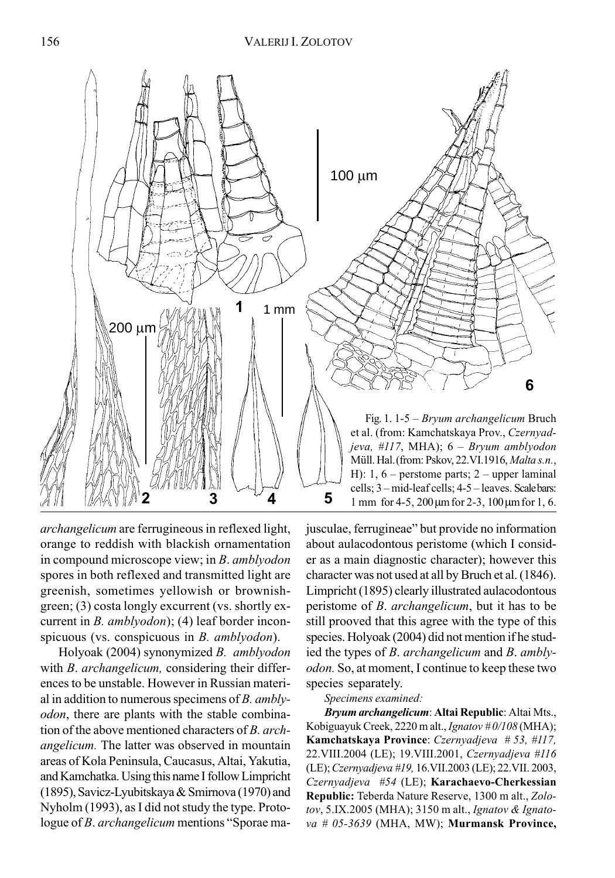

archangelicum are ferrugineous in reflexed light, orange to reddish with blackish ornamentation in compound microscope view; in B. amblyodon spores in both reflexed and transmitted light are greenish, sometimes yellowish or brownishgreen; (3) costa longly excurrent (vs. shortly excurrent in *B. amblyodon*); (4) leaf border inconspicuous (vs. conspicuous in *B. amblyodon*).

Holyoak (2004) synonymized B. amblyodon with *B. archangelicum*, considering their differences to be unstable. However in Russian material in addition to numerous specimens of  $B$ . amblyodon, there are plants with the stable combination of the above mentioned characters of B. archangelicum. The latter was observed in mountain areas of Kola Peninsula, Caucasus, Altai, Yakutia, and Kamchatka. Using this name I follow Limpricht (1895), Savicz-Lyubitskaya & Smirnova (1970) and Nyholm (1993), as I did not study the type. Protologue of *B. archangelicum* mentions "Sporae majusculae, ferrugineae" but provide no information about aulacodontous peristome (which I consider as a main diagnostic character); however this character was not used at all by Bruch et al. (1846). Limpricht (1895) clearly illustrated aulacodontous peristome of B. archangelicum, but it has to be still prooved that this agree with the type of this species. Holyoak (2004) did not mention if he studied the types of B. archangelicum and B. amblyodon. So, at moment, I continue to keep these two species separately.

#### Specimens examined:

Bryum archangelicum: Altai Republic: Altai Mts., Kobiguayuk Creek, 2220 m alt., *Ignatov* #0/108 (MHA); Kamchatskaya Province: Czernyadjeva # 53, #117, 22.VIII.2004 (LE); 19.VIII.2001, Czernyadjeva #116 (LE); Czernyadjeva #19, 16.VII.2003 (LE); 22.VII. 2003, Czernyadjeva #54 (LE); Karachaevo-Cherkessian Republic: Teberda Nature Reserve, 1300 m alt., Zolotov, 5.IX.2005 (MHA); 3150 m alt., Ignatov & Ignato $va \# 05-3639$  (MHA, MW); Murmansk Province,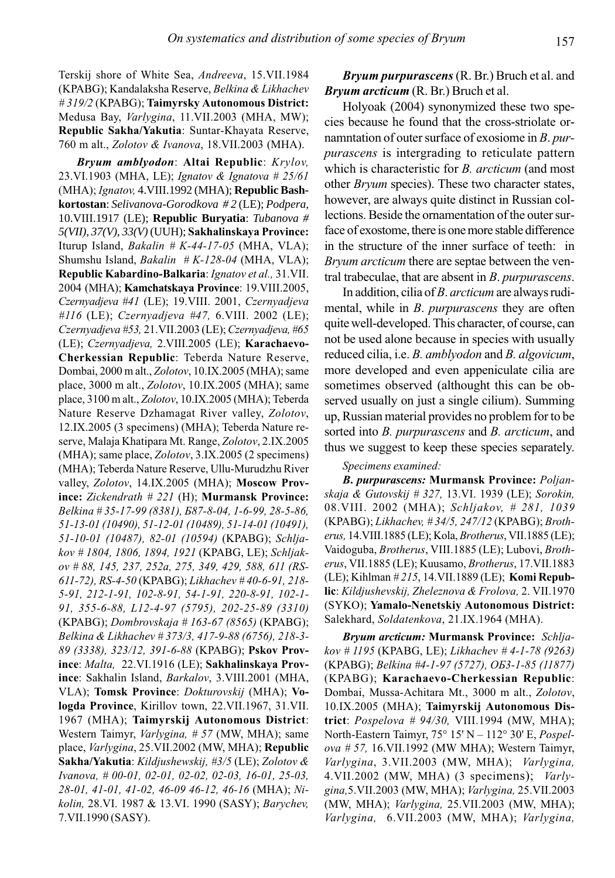Terskij shore of White Sea, Andreeva, 15.VII.1984 (KPABG); Kandalaksha Reserve, Belkina & Likhachev # 319/2 (KPABG); Taimyrsky Autonomous District: Medusa Bay, Varlygina, 11.VII.2003 (MHA, MW); Republic Sakha/Yakutia: Suntar-Khayata Reserve, 760 m alt., Zolotov & Ivanova, 18.VII.2003 (MHA).

Bryum amblyodon: Altai Republic: Krylov, 23.VI.1903 (MHA, LE); Ignatov & Ignatova # 25/61 (MHA); Ignatov, 4.VIII.1992 (MHA); **Republic Bashkortostan**: *Selivanova-Gorodkova # 2* (LE); *Podpera,* 10.VIII.1917 (LE); **Republic Buryatia**: *Tubanova # 5(VII), 37(V), 33(V)* (UUH); Sakhalinskaya Province: Iturup Island, Bakalin #  $K-44-17-05$  (MHA, VLA); Shumshu Island, Bakalin #  $K-128-04$  (MHA, VLA); Republic Kabardino-Balkaria: Ignatov et al., 31.VII. 2004 (MHA); Kamchatskaya Province: 19.VIII.2005, Czernyadjeva #41 (LE); 19.VIII. 2001, Czernyadjeva #116 (LE); Czernyadjeva #47, 6.VIII. 2002 (LE); Czernyadjeva #53, 21.VII.2003 (LE); Czernyadjeva, #65 (LE); Czernyadjeva, 2.VIII.2005 (LE); Karachaevo-Cherkessian Republic: Teberda Nature Reserve, Dombai, 2000 m alt., Zolotov, 10.IX.2005 (MHA); same place, 3000 m alt., Zolotov, 10.IX.2005 (MHA); same place, 3100 m alt., Zolotov, 10.IX.2005 (MHA); Teberda Nature Reserve Dzhamagat River valley, Zolotov, 12.IX.2005 (3 specimens) (MHA); Teberda Nature reserve, Malaja Khatipara Mt. Range, Zolotov, 2.IX.2005 (MHA); same place, Zolotov, 3.IX.2005 (2 specimens) (MHA); Teberda Nature Reserve, Ullu-Murudzhu River valley, Zolotov, 14.IX.2005 (MHA); Moscow Province: Zickendrath # 221 (H); Murmansk Province: Belkina # 35-17-99 (8381), Б87-8-04, 1-6-99, 28-5-86, 51-13-01 (10490), 51-12-01 (10489), 51-14-01 (10491), 51-10-01 (10487), 82-01 (10594) (KPABG); Schljakov # 1804, 1806, 1894, 1921 (KPABG, LE); Schljakov # 88, 145, 237, 252а, 275, 349, 429, 588, 611 (RS-611-72), RS-4-50 (KPABG); Likhachev # 40-6-91, 218- 5-91, 212-1-91, 102-8-91, 54-1-91, 220-8-91, 102-1- 91, 355-6-88, L12-4-97 (5795), 202-25-89 (3310) (KPABG); Dombrovskaja # 163-67 (8565) (KPABG); Belkina & Likhachev # 373/3, 417-9-88 (6756), 218-3- 89 (3338), 323/12, 391-6-88 (KPABG); Pskov Province: Malta, 22.VI.1916 (LE); Sakhalinskaya Province: Sakhalin Island, Barkalov, 3.VIII.2001 (MHA, VLA); Tomsk Province: Dokturovskij (MHA); Vologda Province, Kirillov town, 22.VII.1967, 31.VII. 1967 (MHA); Taimyrskij Autonomous District: Western Taimyr, Varlygina, # 57 (MW, MHA); same place, Varlygina, 25.VII.2002 (MW, MHA); Republic Sakha/Yakutia: Kildjushewskij, #3/5 (LE); Zolotov & Ivanova, # 00-01, 02-01, 02-02, 02-03, 16-01, 25-03, 28-01, 41-01, 41-02, 46-09 46-12, 46-16 (MHA); Nikolin, 28.VI. 1987 & 13.VI. 1990 (SASY); Barychev, 7.VII.1990 (SASY).

Bryum purpurascens (R. Br.) Bruch et al. and Bryum arcticum (R. Br.) Bruch et al.

Holyoak (2004) synonymized these two species because he found that the cross-striolate ornamntation of outer surface of exosiome in B. purpurascens is intergrading to reticulate pattern which is characteristic for *B. arcticum* (and most other Bryum species). These two character states, however, are always quite distinct in Russian collections. Beside the ornamentation of the outer surface of exostome, there is one more stable difference in the structure of the inner surface of teeth: in Bryum arcticum there are septae between the ventral trabeculae, that are absent in B. purpurascens.

In addition, cilia of B. arcticum are always rudimental, while in *B. purpurascens* they are often quite well-developed. This character, of course, can not be used alone because in species with usually reduced cilia, i.e. *B. amblyodon* and *B. algovicum*, more developed and even appeniculate cilia are sometimes observed (althought this can be observed usually on just a single cilium). Summing up, Russian material provides no problem for to be sorted into *B. purpurascens* and *B. arcticum*, and thus we suggest to keep these species separately.

#### Specimens examined:

B. purpurascens: Murmansk Province: Poljanskaja & Gutovskij # 327, 13.VI. 1939 (LE); Sorokin, 08.VIII. 2002 (MHA); Schljakov, # 281, 1039 (KPABG); Likhachev, # 34/5, 247/12 (KPABG); Brotherus, 14.VIII.1885 (LE); Kola, Brotherus, VII.1885 (LE); Vaidoguba, Brotherus, VIII.1885 (LE); Lubovi, Brotherus, VII.1885 (LE); Kuusamo, Brotherus, 17.VII.1883 (LE); Kihlman # 215, 14. VII. 1889 (LE); Komi Republic: Kildjushevskij, Zheleznova & Frolova, 2. VII.1970 (SYKO); Yamalo-Nenetskiy Autonomous District: Salekhard, Soldatenkova, 21.IX.1964 (MHA).

Bryum arcticum: Murmansk Province: Schljakov # 1195 (KPABG, LE); Likhachev # 4-1-78 (9263) (KPABG); Belkina #4-1-97 (5727), ОБ3-1-85 (11877) (KPABG); Karachaevo-Cherkessian Republic: Dombai, Mussa-Achitara Mt., 3000 m alt., Zolotov, 10.IX.2005 (MHA); Taimyrskij Autonomous District: Pospelova # 94/30, VIII.1994 (MW, MHA); North-Eastern Taimyr, 75° 15' N – 112° 30' E, Pospelova # 57, 16.VII.1992 (MW MHA); Western Taimyr, Varlygina, 3.VII.2003 (MW, MHA); Varlygina, 4. VII. 2002 (MW, MHA) (3 specimens); Varlygina,5.VII.2003 (MW, MHA); Varlygina, 25.VII.2003 (MW, MHA); Varlygina, 25.VII.2003 (MW, MHA); Varlygina, 6.VII.2003 (MW, MHA); Varlygina,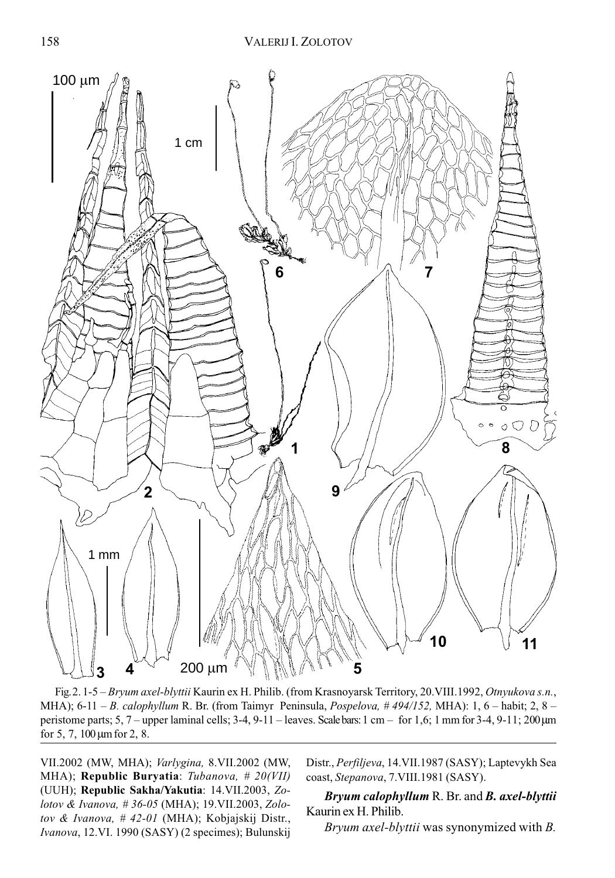

Fig. 2. 1-5 – Bryum axel-blyttii Kaurin ex H. Philib. (from Krasnoyarsk Territory, 20. VIII.1992, Otnyukova s.n., MHA); 6-11 – B. calophyllum R. Br. (from Taimyr Peninsula, Pospelova, #494/152, MHA): 1, 6 – habit; 2, 8 – peristome parts; 5, 7 – upper laminal cells; 3-4, 9-11 – leaves. Scale bars: 1 cm – for 1,6; 1 mm for 3-4, 9-11; 200 μm for 5, 7, 100 μm for 2, 8.

VII.2002 (MW, MHA); Varlygina, 8.VII.2002 (MW, MHA); Republic Buryatia: Tubanova, # 20(VII) (UUH); Republic Sakha/Yakutia: 14.VII.2003, Zolotov & Ivanova, # 36-05 (MHA); 19.VII.2003, Zolotov & Ivanova, # 42-01 (MHA); Kobjajskij Distr., Ivanova, 12.VI. 1990 (SASY) (2 specimes); Bulunskij Distr., Perfiljeva, 14.VII.1987 (SASY); Laptevykh Sea coast, Stepanova, 7.VIII.1981 (SASY).

Bryum calophyllum R. Br. and B. axel-blyttii Kaurin ex H. Philib.

Bryum axel-blyttii was synonymized with B.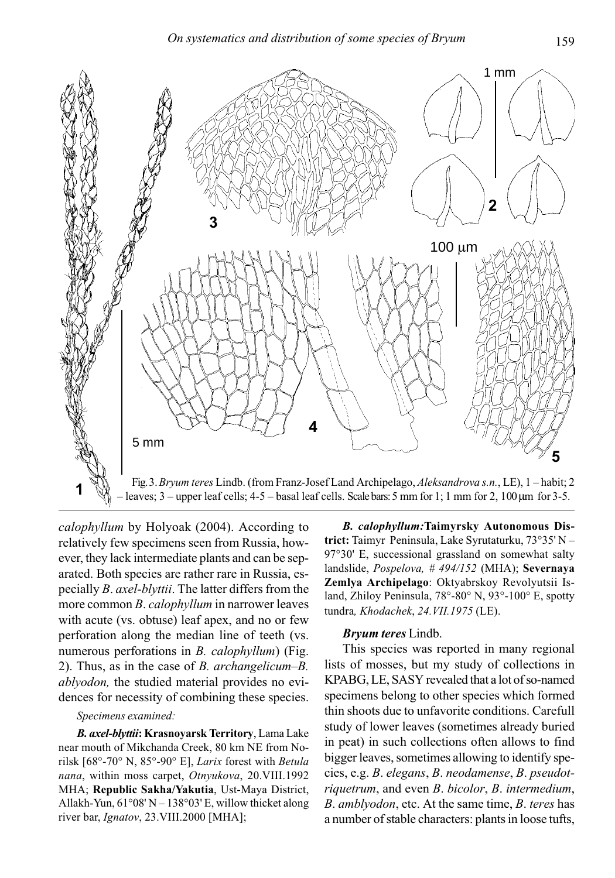

calophyllum by Holyoak (2004). According to relatively few specimens seen from Russia, however, they lack intermediate plants and can be separated. Both species are rather rare in Russia, especially B. axel-blyttii. The latter differs from the more common B. calophyllum in narrower leaves with acute (vs. obtuse) leaf apex, and no or few perforation along the median line of teeth (vs. numerous perforations in B. calophyllum) (Fig. 2). Thus, as in the case of B. archangelicum–B. ablyodon, the studied material provides no evidences for necessity of combining these species.

### Specimens examined:

B. axel-blyttii: Krasnoyarsk Territory, Lama Lake near mouth of Mikchanda Creek, 80 km NE from Norilsk [68°-70° N, 85°-90° E], Larix forest with Betula nana, within moss carpet, Otnyukova, 20.VIII.1992 MHA; Republic Sakha/Yakutia, Ust-Maya District, Allakh-Yun,  $61^{\circ}08'$  N  $- 138^{\circ}03'$  E, willow thicket along river bar, Ignatov, 23. VIII. 2000 [MHA];

B. calophyllum:Taimyrsky Autonomous District: Taimyr Peninsula, Lake Syrutaturku, 73°35' N – 97°30' E, successional grassland on somewhat salty landslide, Pospelova, # 494/152 (MHA); Severnaya Zemlya Archipelago: Oktyabrskoy Revolyutsii Island, Zhiloy Peninsula, 78°-80° N, 93°-100° E, spotty tundra, Khodachek, 24.VII.1975 (LE).

## Bryum teres Lindb.

This species was reported in many regional lists of mosses, but my study of collections in KPABG, LE, SASY revealed that a lot of so-named specimens belong to other species which formed thin shoots due to unfavorite conditions. Carefull study of lower leaves (sometimes already buried in peat) in such collections often allows to find bigger leaves, sometimes allowing to identify species, e.g. B. elegans, B. neodamense, B. pseudotriquetrum, and even B. bicolor, B. intermedium, B. amblyodon, etc. At the same time, B. teres has a number of stable characters: plants in loose tufts,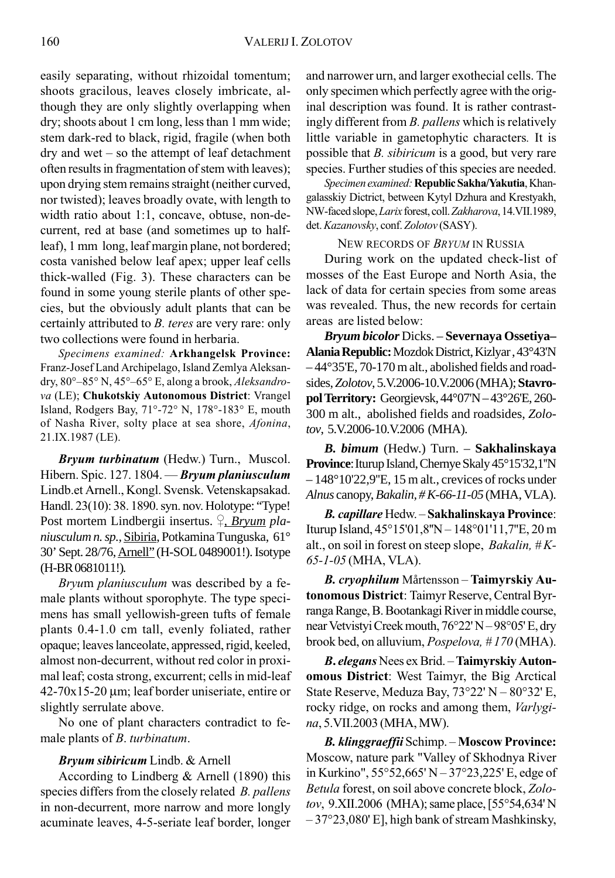easily separating, without rhizoidal tomentum; shoots gracilous, leaves closely imbricate, although they are only slightly overlapping when dry; shoots about 1 cm long, less than 1 mm wide; stem dark-red to black, rigid, fragile (when both dry and wet – so the attempt of leaf detachment often results in fragmentation of stem with leaves); upon drying stem remains straight (neither curved, nor twisted); leaves broadly ovate, with length to width ratio about 1:1, concave, obtuse, non-decurrent, red at base (and sometimes up to halfleaf), 1 mm long, leaf margin plane, not bordered; costa vanished below leaf apex; upper leaf cells thick-walled (Fig. 3). These characters can be found in some young sterile plants of other species, but the obviously adult plants that can be certainly attributed to B. teres are very rare: only two collections were found in herbaria.

Specimens examined: Arkhangelsk Province: Franz-Josef Land Archipelago, Island Zemlya Aleksandry, 80°–85° N, 45°–65° E, along a brook, Aleksandrova (LE); Chukotskiy Autonomous District: Vrangel Island, Rodgers Bay, 71°-72° N, 178°-183° E, mouth of Nasha River, solty place at sea shore, Afonina, 21.IX.1987 (LE).

Bryum turbinatum (Hedw.) Turn., Muscol. Hibern. Spic. 127. 1804. - Bryum planiusculum Lindb.et Arnell., Kongl. Svensk. Vetenskapsakad. Handl. 23(10): 38. 1890. syn. nov. Holotype: "Type! Post mortem Lindbergii insertus. <sup>2</sup>, *Bryum planiusculum n. sp.,* Sibiria, Potkamina Tunguska, 61° 30' Sept. 28/76, Arnell" (H-SOL 0489001!). Isotype (H-BR 0681011!)*.*

Bryum planiusculum was described by a female plants without sporophyte. The type specimens has small yellowish-green tufts of female plants 0.4-1.0 cm tall, evenly foliated, rather opaque; leaves lanceolate, appressed, rigid, keeled, almost non-decurrent, without red color in proximal leaf; costa strong, excurrent; cells in mid-leaf 42-70х15-20 μm; leaf border uniseriate, entire or slightly serrulate above.

No one of plant characters contradict to female plants of B. turbinatum.

### Bryum sibiricum Lindb. & Arnell

According to Lindberg & Arnell (1890) this species differs from the closely related *B. pallens* in non-decurrent, more narrow and more longly acuminate leaves, 4-5-seriate leaf border, longer and narrower urn, and larger exothecial cells. The only specimen which perfectly agree with the original description was found. It is rather contrastingly different from B. pallens which is relatively little variable in gametophytic characters. It is possible that *B. sibiricum* is a good, but very rare species. Further studies of this species are needed.

Specimen examined: Republic Sakha/Yakutia, Khangalasskiy Dictrict, between Kytyl Dzhura and Krestyakh, NW-faced slope, Larix forest, coll. Zakharova, 14.VII.1989, det. Kazanovsky, conf. Zolotov (SASY).

NEW RECORDS OF BRYUM IN RUSSIA

During work on the updated check-list of mosses of the East Europe and North Asia, the lack of data for certain species from some areas was revealed. Thus, the new records for certain areas are listed below:

*Bryum bicolor* Dicks. – **Severnaya Ossetiya– Alania Republic:** Mozdok District, Kizlyar , 43°43'N – 44°35'E, 70-170 m alt., abolished fields and roadsides, *Zolotov*, 5.V.2006-10.V.2006 (MHA); **Stavropol Territory:** Georgievsk, 44°07'N – 43°26'E, 260- 300 m alt., abolished fields and roadsides, *Zolotov*, 5.V.2006-10.V.2006 (MHA).

*B. bimum* (Hedw.) Turn. – **Sakhalinskaya Province**: Iturup Island, Chernye Skaly 45°15'32,1''N – 148°10'22,9''E, 15 m alt., crevices of rocks under *Alnus* canopy, *Bakalin, # K-66-11-05* (MHA, VLA).

B. capillare Hedw. – Sakhalinskaya Province: Iturup Island, 45°15'01,8''N – 148°01'11,7''E, 20 m alt., on soil in forest on steep slope, *Bakalin*,  $#K$ -65-1-05 (MHA, VLA).

B. cryophilum Mårtensson – Taimyrskiy Autonomous District: Taimyr Reserve, Central Byrranga Range, B. Bootankagi River in middle course, near Vetvistyi Creek mouth, 76°22' N – 98°05' E, dry brook bed, on alluvium, Pospelova, # 170 (MHA).

B. elegans Nees ex Brid. – Taimyrskiy Autonomous District: West Taimyr, the Big Arctical State Reserve, Meduza Bay, 73°22' N – 80°32' E, rocky ridge, on rocks and among them, *Varlygi*na, 5.VII.2003 (MHA, MW).

B. klinggraeffii Schimp. – Moscow Province: Moscow, nature park "Valley of Skhodnya River in Kurkino", 55°52,665' N – 37°23,225' E, edge of Betula forest, on soil above concrete block, Zolotov, 9.XII.2006 (MHA); same place, [55°54,634' N – 37°23,080' E], high bank of stream Mashkinsky,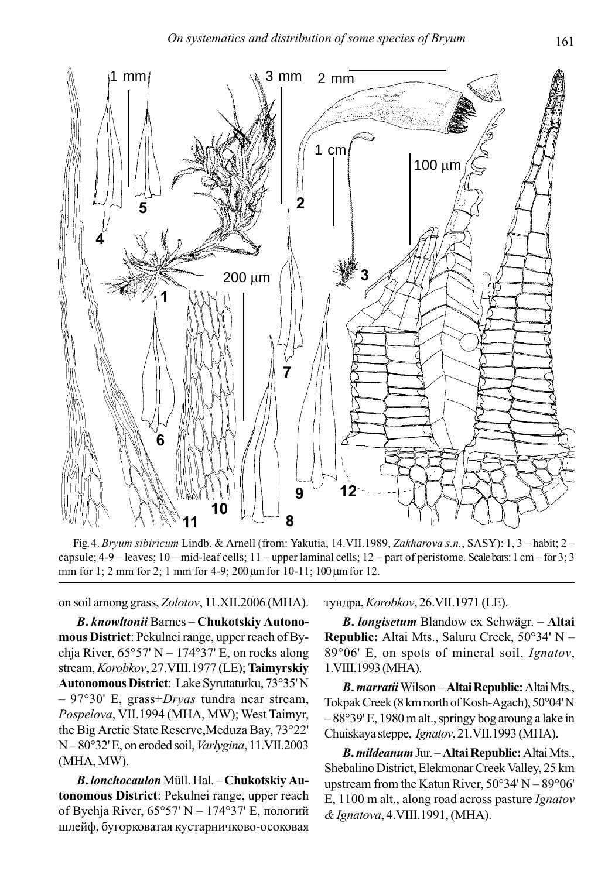

Fig. 4. Bryum sibiricum Lindb. & Arnell (from: Yakutia, 14.VII.1989, Zakharova s.n., SASY): 1, 3 – habit; 2 – capsule;  $4-9$  – leaves;  $10$  – mid-leaf cells;  $11$  – upper laminal cells;  $12$  – part of peristome. Scale bars:  $1 \text{ cm}$  – for  $3$ ; 3 mm for 1; 2 mm for 2; 1 mm for 4-9; 200 μm for 10-11; 100 μm for 12.

on soil among grass, Zolotov, 11.XII.2006 (MHA).

B. knowltonii Barnes – Chukotskiy Autonomous District: Pekulnei range, upper reach of Bychja River,  $65^{\circ}57'$  N –  $174^{\circ}37'$  E, on rocks along stream, Korobkov, 27. VIII. 1977 (LE); Taimyrskiy Autonomous District: Lake Syrutaturku, 73°35' N  $-97^{\circ}30'$  E, grass+Dryas tundra near stream, Pospelova, VII.1994 (MHA, MW); West Taimyr, the Big Arctic State Reserve,Meduza Bay, 73°22' N – 80°32' E, on eroded soil, Varlygina, 11.VII.2003 (MHA, MW).

B. lonchocaulon Müll. Hal. – Chukotskiy Autonomous District: Pekulnei range, upper reach of Bychja River, 65°57' N – 174°37' E, пологий шлейф, бугорковатая кустарничково-осоковая

тундра, Korobkov, 26.VII.1971 (LE).

B. longisetum Blandow ex Schwägr. – Altai Republic: Altai Mts., Saluru Creek, 50°34' N – 89°06' E, on spots of mineral soil, Ignatov, 1.VIII.1993 (MHA).

B. marratii Wilson – Altai Republic: Altai Mts., Tokpak Creek (8 km north of Kosh-Agach), 50°04' N – 88°39' E, 1980 m alt., springy bog aroung a lake in Chuiskaya steppe, Ignatov, 21.VII.1993 (MHA).

B. mildeanum Jur. – Altai Republic: Altai Mts., Shebalino District, Elekmonar Creek Valley, 25 km upstream from the Katun River, 50°34' N – 89°06' E, 1100 m alt., along road across pasture Ignatov & Ignatova, 4.VIII.1991, (MHA).